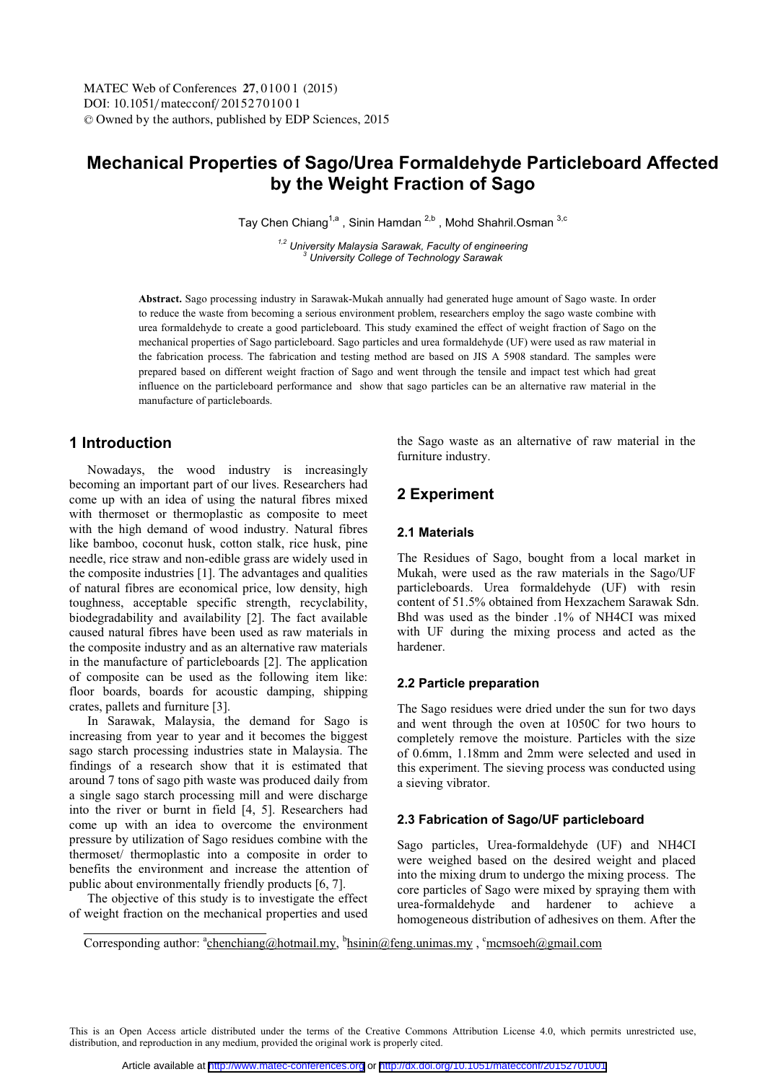# **Mechanical Properties of Sago/Urea Formaldehyde Particleboard Affected by the Weight Fraction of Sago**

Tay Chen Chiang<sup>1,a</sup>, Sinin Hamdan<sup>2,b</sup>, Mohd Shahril.Osman<sup>3,c</sup>

<sup>1,2</sup> University Malaysia Sarawak, Faculty of engineering  *University College of Technology Sarawak* 

**Abstract.** Sago processing industry in Sarawak-Mukah annually had generated huge amount of Sago waste. In order to reduce the waste from becoming a serious environment problem, researchers employ the sago waste combine with urea formaldehyde to create a good particleboard. This study examined the effect of weight fraction of Sago on the mechanical properties of Sago particleboard. Sago particles and urea formaldehyde (UF) were used as raw material in the fabrication process. The fabrication and testing method are based on JIS A 5908 standard. The samples were prepared based on different weight fraction of Sago and went through the tensile and impact test which had great influence on the particleboard performance and show that sago particles can be an alternative raw material in the manufacture of particleboards.

## **1 Introduction**

Nowadays, the wood industry is increasingly becoming an important part of our lives. Researchers had come up with an idea of using the natural fibres mixed with thermoset or thermoplastic as composite to meet with the high demand of wood industry. Natural fibres like bamboo, coconut husk, cotton stalk, rice husk, pine needle, rice straw and non-edible grass are widely used in the composite industries [1]. The advantages and qualities of natural fibres are economical price, low density, high toughness, acceptable specific strength, recyclability, biodegradability and availability [2]. The fact available caused natural fibres have been used as raw materials in the composite industry and as an alternative raw materials in the manufacture of particleboards [2]. The application of composite can be used as the following item like: floor boards, boards for acoustic damping, shipping crates, pallets and furniture [3].

In Sarawak, Malaysia, the demand for Sago is increasing from year to year and it becomes the biggest sago starch processing industries state in Malaysia. The findings of a research show that it is estimated that around 7 tons of sago pith waste was produced daily from a single sago starch processing mill and were discharge into the river or burnt in field [4, 5]. Researchers had come up with an idea to overcome the environment pressure by utilization of Sago residues combine with the thermoset/ thermoplastic into a composite in order to benefits the environment and increase the attention of public about environmentally friendly products [6, 7].

The objective of this study is to investigate the effect of weight fraction on the mechanical properties and used the Sago waste as an alternative of raw material in the furniture industry.

## **2 Experiment**

## **2.1 Materials**

The Residues of Sago, bought from a local market in Mukah, were used as the raw materials in the Sago/UF particleboards. Urea formaldehyde (UF) with resin content of 51.5% obtained from Hexzachem Sarawak Sdn. Bhd was used as the binder .1% of NH4CI was mixed with UF during the mixing process and acted as the hardener.

### **2.2 Particle preparation**

The Sago residues were dried under the sun for two days and went through the oven at 1050C for two hours to completely remove the moisture. Particles with the size of 0.6mm, 1.18mm and 2mm were selected and used in this experiment. The sieving process was conducted using a sieving vibrator.

### **2.3 Fabrication of Sago/UF particleboard**

Sago particles, Urea-formaldehyde (UF) and NH4CI were weighed based on the desired weight and placed into the mixing drum to undergo the mixing process. The core particles of Sago were mixed by spraying them with urea-formaldehyde and hardener to achieve a homogeneous distribution of adhesives on them. After the

Corresponding author: <sup>a</sup>chenchiang@hotmail.my, <sup>b</sup>hsinin@feng.unimas.my, c<sup>o</sup>mcmsoeh@gmail.com

This is an Open Access article distributed under the terms of the Creative Commons Attribution License 4.0, which permits unrestricted use, distribution, and reproduction in any medium, provided the original work is properly cited.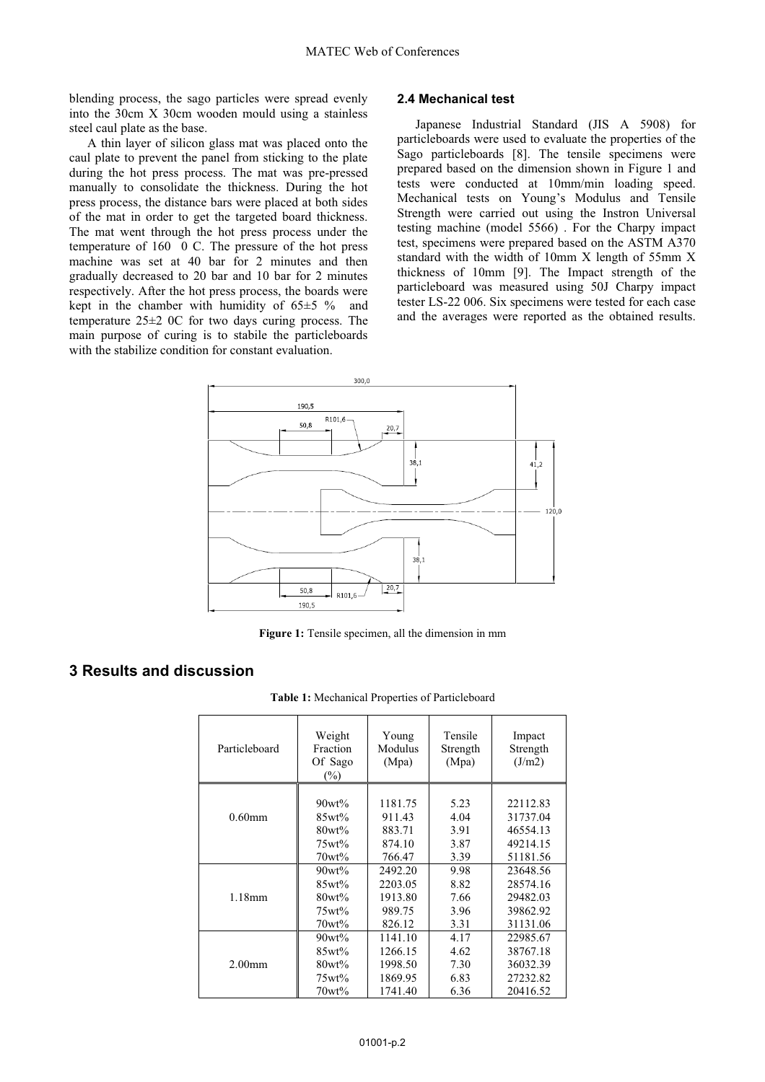blending process, the sago particles were spread evenly into the 30cm X 30cm wooden mould using a stainless steel caul plate as the base.

A thin layer of silicon glass mat was placed onto the caul plate to prevent the panel from sticking to the plate during the hot press process. The mat was pre-pressed manually to consolidate the thickness. During the hot press process, the distance bars were placed at both sides of the mat in order to get the targeted board thickness. The mat went through the hot press process under the temperature of 160 0 C. The pressure of the hot press machine was set at 40 bar for 2 minutes and then gradually decreased to 20 bar and 10 bar for 2 minutes respectively. After the hot press process, the boards were kept in the chamber with humidity of  $65±5 \%$  and temperature 25±2 0C for two days curing process. The main purpose of curing is to stabile the particleboards with the stabilize condition for constant evaluation.

#### **2.4 Mechanical test**

Japanese Industrial Standard (JIS A 5908) for particleboards were used to evaluate the properties of the Sago particleboards [8]. The tensile specimens were prepared based on the dimension shown in Figure 1 and tests were conducted at 10mm/min loading speed. Mechanical tests on Young's Modulus and Tensile Strength were carried out using the Instron Universal testing machine (model 5566) . For the Charpy impact test, specimens were prepared based on the ASTM A370 standard with the width of 10mm X length of 55mm X thickness of 10mm [9]. The Impact strength of the particleboard was measured using 50J Charpy impact tester LS-22 006. Six specimens were tested for each case and the averages were reported as the obtained results.



Figure 1: Tensile specimen, all the dimension in mm

## **3 Results and discussion**

**Table 1:** Mechanical Properties of Particleboard

| Particleboard | Weight<br>Fraction<br>Of Sago<br>$(\%)$ | Young<br>Modulus<br>(Mpa) | Tensile<br>Strength<br>(Mpa) | Impact<br>Strength<br>(J/m2) |
|---------------|-----------------------------------------|---------------------------|------------------------------|------------------------------|
| $0.60$ mm     | $90wt\%$                                | 1181.75                   | 5.23                         | 22112.83                     |
|               | $85wt\%$                                | 911.43                    | 4.04                         | 31737.04                     |
|               | $80wt\%$                                | 883.71                    | 3.91                         | 46554.13                     |
|               | 75wt%                                   | 874.10                    | 3.87                         | 49214.15                     |
|               | $70wt\%$                                | 766.47                    | 3.39                         | 51181.56                     |
| 1.18mm        | $90wt\%$                                | 2492.20                   | 9.98                         | 23648.56                     |
|               | 85wt%                                   | 2203.05                   | 8.82                         | 28574.16                     |
|               | $80wt\%$                                | 1913.80                   | 7.66                         | 29482.03                     |
|               | $75wt\%$                                | 989.75                    | 3.96                         | 39862.92                     |
|               | $70wt\%$                                | 826.12                    | 3.31                         | 31131.06                     |
| $2.00$ mm     | 90wt%                                   | 1141.10                   | 4.17                         | 22985.67                     |
|               | $85wt\%$                                | 1266.15                   | 4.62                         | 38767.18                     |
|               | $80wt\%$                                | 1998.50                   | 7.30                         | 36032.39                     |
|               | $75wt\%$                                | 1869.95                   | 6.83                         | 27232.82                     |
|               | 70wt%                                   | 1741.40                   | 6.36                         | 20416.52                     |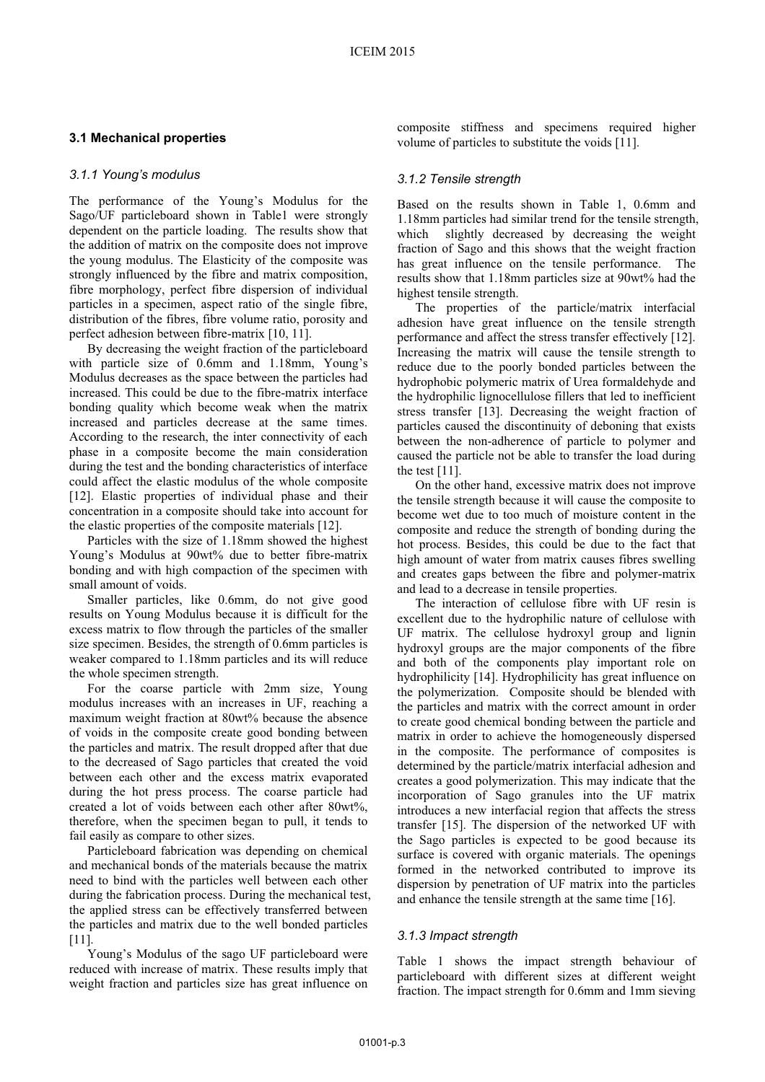### **3.1 Mechanical properties**

### *3.1.1 Young's modulus*

The performance of the Young's Modulus for the Sago/UF particleboard shown in Table1 were strongly dependent on the particle loading. The results show that the addition of matrix on the composite does not improve the young modulus. The Elasticity of the composite was strongly influenced by the fibre and matrix composition, fibre morphology, perfect fibre dispersion of individual particles in a specimen, aspect ratio of the single fibre, distribution of the fibres, fibre volume ratio, porosity and perfect adhesion between fibre-matrix [10, 11].

By decreasing the weight fraction of the particleboard with particle size of 0.6mm and 1.18mm, Young's Modulus decreases as the space between the particles had increased. This could be due to the fibre-matrix interface bonding quality which become weak when the matrix increased and particles decrease at the same times. According to the research, the inter connectivity of each phase in a composite become the main consideration during the test and the bonding characteristics of interface could affect the elastic modulus of the whole composite [12]. Elastic properties of individual phase and their concentration in a composite should take into account for the elastic properties of the composite materials [12].

Particles with the size of 1.18mm showed the highest Young's Modulus at 90wt% due to better fibre-matrix bonding and with high compaction of the specimen with small amount of voids.

Smaller particles, like 0.6mm, do not give good results on Young Modulus because it is difficult for the excess matrix to flow through the particles of the smaller size specimen. Besides, the strength of 0.6mm particles is weaker compared to 1.18mm particles and its will reduce the whole specimen strength.

For the coarse particle with 2mm size, Young modulus increases with an increases in UF, reaching a maximum weight fraction at 80wt% because the absence of voids in the composite create good bonding between the particles and matrix. The result dropped after that due to the decreased of Sago particles that created the void between each other and the excess matrix evaporated during the hot press process. The coarse particle had created a lot of voids between each other after 80wt%, therefore, when the specimen began to pull, it tends to fail easily as compare to other sizes.

Particleboard fabrication was depending on chemical and mechanical bonds of the materials because the matrix need to bind with the particles well between each other during the fabrication process. During the mechanical test, the applied stress can be effectively transferred between the particles and matrix due to the well bonded particles [11].

Young's Modulus of the sago UF particleboard were reduced with increase of matrix. These results imply that weight fraction and particles size has great influence on composite stiffness and specimens required higher volume of particles to substitute the voids [11].

#### *3.1.2 Tensile strength*

Based on the results shown in Table 1, 0.6mm and 1.18mm particles had similar trend for the tensile strength, which slightly decreased by decreasing the weight fraction of Sago and this shows that the weight fraction has great influence on the tensile performance. The results show that 1.18mm particles size at 90wt% had the highest tensile strength.

The properties of the particle/matrix interfacial adhesion have great influence on the tensile strength performance and affect the stress transfer effectively [12]. Increasing the matrix will cause the tensile strength to reduce due to the poorly bonded particles between the hydrophobic polymeric matrix of Urea formaldehyde and the hydrophilic lignocellulose fillers that led to inefficient stress transfer [13]. Decreasing the weight fraction of particles caused the discontinuity of deboning that exists between the non-adherence of particle to polymer and caused the particle not be able to transfer the load during the test [11].

On the other hand, excessive matrix does not improve the tensile strength because it will cause the composite to become wet due to too much of moisture content in the composite and reduce the strength of bonding during the hot process. Besides, this could be due to the fact that high amount of water from matrix causes fibres swelling and creates gaps between the fibre and polymer-matrix and lead to a decrease in tensile properties.

The interaction of cellulose fibre with UF resin is excellent due to the hydrophilic nature of cellulose with UF matrix. The cellulose hydroxyl group and lignin hydroxyl groups are the major components of the fibre and both of the components play important role on hydrophilicity [14]. Hydrophilicity has great influence on the polymerization. Composite should be blended with the particles and matrix with the correct amount in order to create good chemical bonding between the particle and matrix in order to achieve the homogeneously dispersed in the composite. The performance of composites is determined by the particle/matrix interfacial adhesion and creates a good polymerization. This may indicate that the incorporation of Sago granules into the UF matrix introduces a new interfacial region that affects the stress transfer [15]. The dispersion of the networked UF with the Sago particles is expected to be good because its surface is covered with organic materials. The openings formed in the networked contributed to improve its dispersion by penetration of UF matrix into the particles and enhance the tensile strength at the same time [16].

### *3.1.3 Impact strength*

Table 1 shows the impact strength behaviour of particleboard with different sizes at different weight fraction. The impact strength for 0.6mm and 1mm sieving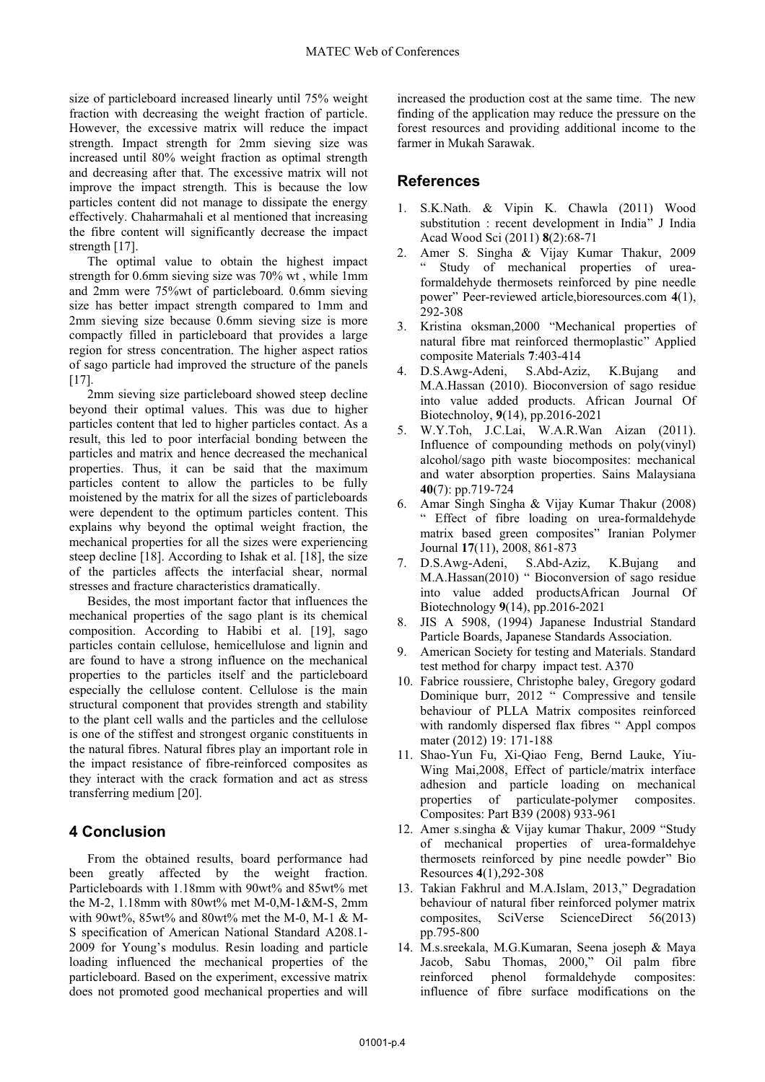size of particleboard increased linearly until 75% weight fraction with decreasing the weight fraction of particle. However, the excessive matrix will reduce the impact strength. Impact strength for 2mm sieving size was increased until 80% weight fraction as optimal strength and decreasing after that. The excessive matrix will not improve the impact strength. This is because the low particles content did not manage to dissipate the energy effectively. Chaharmahali et al mentioned that increasing the fibre content will significantly decrease the impact strength [17].

The optimal value to obtain the highest impact strength for 0.6mm sieving size was 70% wt , while 1mm and 2mm were 75%wt of particleboard. 0.6mm sieving size has better impact strength compared to 1mm and 2mm sieving size because 0.6mm sieving size is more compactly filled in particleboard that provides a large region for stress concentration. The higher aspect ratios of sago particle had improved the structure of the panels [17].

2mm sieving size particleboard showed steep decline beyond their optimal values. This was due to higher particles content that led to higher particles contact. As a result, this led to poor interfacial bonding between the particles and matrix and hence decreased the mechanical properties. Thus, it can be said that the maximum particles content to allow the particles to be fully moistened by the matrix for all the sizes of particleboards were dependent to the optimum particles content. This explains why beyond the optimal weight fraction, the mechanical properties for all the sizes were experiencing steep decline [18]. According to Ishak et al. [18], the size of the particles affects the interfacial shear, normal stresses and fracture characteristics dramatically.

Besides, the most important factor that influences the mechanical properties of the sago plant is its chemical composition. According to Habibi et al. [19], sago particles contain cellulose, hemicellulose and lignin and are found to have a strong influence on the mechanical properties to the particles itself and the particleboard especially the cellulose content. Cellulose is the main structural component that provides strength and stability to the plant cell walls and the particles and the cellulose is one of the stiffest and strongest organic constituents in the natural fibres. Natural fibres play an important role in the impact resistance of fibre-reinforced composites as they interact with the crack formation and act as stress transferring medium [20].

## **4 Conclusion**

From the obtained results, board performance had been greatly affected by the weight fraction. Particleboards with 1.18mm with 90wt% and 85wt% met the M-2, 1.18mm with 80wt% met M-0,M-1&M-S, 2mm with 90wt%, 85wt% and 80wt% met the M-0, M-1 & M-S specification of American National Standard A208.1- 2009 for Young's modulus. Resin loading and particle loading influenced the mechanical properties of the particleboard. Based on the experiment, excessive matrix does not promoted good mechanical properties and will increased the production cost at the same time. The new finding of the application may reduce the pressure on the forest resources and providing additional income to the farmer in Mukah Sarawak.

## **References**

- 1. S.K.Nath. & Vipin K. Chawla (2011) Wood substitution : recent development in India" J India Acad Wood Sci (2011) **8**(2):68-71
- 2. Amer S. Singha & Vijay Kumar Thakur, 2009 Study of mechanical properties of ureaformaldehyde thermosets reinforced by pine needle power" Peer-reviewed article,bioresources.com **4**(1), 292-308
- 3. Kristina oksman,2000 "Mechanical properties of natural fibre mat reinforced thermoplastic" Applied composite Materials **7**:403-414<br>D.S.Awg-Adeni, S.Abd-Aziz,
- 4. D.S.Awg-Adeni, S.Abd-Aziz, K.Bujang and M.A.Hassan (2010). Bioconversion of sago residue into value added products. African Journal Of Biotechnoloy, **9**(14), pp.2016-2021
- 5. W.Y.Toh, J.C.Lai, W.A.R.Wan Aizan (2011). Influence of compounding methods on poly(vinyl) alcohol/sago pith waste biocomposites: mechanical and water absorption properties. Sains Malaysiana **40**(7): pp.719-724
- 6. Amar Singh Singha & Vijay Kumar Thakur (2008) " Effect of fibre loading on urea-formaldehyde matrix based green composites" Iranian Polymer Journal **17**(11), 2008, 861-873
- 7. D.S.Awg-Adeni, S.Abd-Aziz, K.Bujang and M.A.Hassan(2010) " Bioconversion of sago residue into value added productsAfrican Journal Of Biotechnology **9**(14), pp.2016-2021
- 8. JIS A 5908, (1994) Japanese Industrial Standard Particle Boards, Japanese Standards Association.
- 9. American Society for testing and Materials. Standard test method for charpy impact test. A370
- 10. Fabrice roussiere, Christophe baley, Gregory godard Dominique burr, 2012 " Compressive and tensile behaviour of PLLA Matrix composites reinforced with randomly dispersed flax fibres " Appl compos mater (2012) 19: 171-188
- 11. Shao-Yun Fu, Xi-Qiao Feng, Bernd Lauke, Yiu-Wing Mai,2008, Effect of particle/matrix interface adhesion and particle loading on mechanical properties of particulate-polymer composites. Composites: Part B39 (2008) 933-961
- 12. Amer s.singha & Vijay kumar Thakur, 2009 "Study of mechanical properties of urea-formaldehye thermosets reinforced by pine needle powder" Bio Resources **4**(1),292-308
- 13. Takian Fakhrul and M.A.Islam, 2013," Degradation behaviour of natural fiber reinforced polymer matrix composites, SciVerse ScienceDirect 56(2013) pp.795-800
- 14. M.s.sreekala, M.G.Kumaran, Seena joseph & Maya Jacob, Sabu Thomas, 2000," Oil palm fibre reinforced phenol formaldehyde composites: influence of fibre surface modifications on the